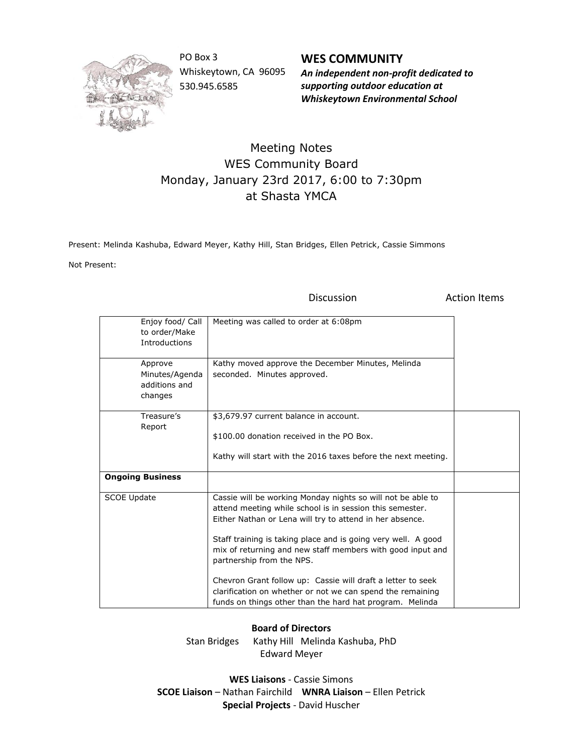

PO Box 3 Whiskeytown, CA 96095 530.945.6585

**WES COMMUNITY** *An independent non-profit dedicated to supporting outdoor education at*

*Whiskeytown Environmental School*

## Meeting Notes WES Community Board Monday, January 23rd 2017, 6:00 to 7:30pm at Shasta YMCA

Present: Melinda Kashuba, Edward Meyer, Kathy Hill, Stan Bridges, Ellen Petrick, Cassie Simmons

Not Present:

Discussion **Action** Items

| Enjoy food/ Call<br>to order/Make<br><b>Introductions</b><br>Approve<br>Minutes/Agenda<br>additions and | Meeting was called to order at 6:08pm<br>Kathy moved approve the December Minutes, Melinda<br>seconded. Minutes approved.                                                                                                                                                                                                                                                                                                                                                                                                                |  |
|---------------------------------------------------------------------------------------------------------|------------------------------------------------------------------------------------------------------------------------------------------------------------------------------------------------------------------------------------------------------------------------------------------------------------------------------------------------------------------------------------------------------------------------------------------------------------------------------------------------------------------------------------------|--|
| changes                                                                                                 |                                                                                                                                                                                                                                                                                                                                                                                                                                                                                                                                          |  |
| Treasure's<br>Report                                                                                    | \$3,679.97 current balance in account.                                                                                                                                                                                                                                                                                                                                                                                                                                                                                                   |  |
|                                                                                                         | \$100.00 donation received in the PO Box.                                                                                                                                                                                                                                                                                                                                                                                                                                                                                                |  |
|                                                                                                         | Kathy will start with the 2016 taxes before the next meeting.                                                                                                                                                                                                                                                                                                                                                                                                                                                                            |  |
| <b>Ongoing Business</b>                                                                                 |                                                                                                                                                                                                                                                                                                                                                                                                                                                                                                                                          |  |
| <b>SCOE Update</b>                                                                                      | Cassie will be working Monday nights so will not be able to<br>attend meeting while school is in session this semester.<br>Either Nathan or Lena will try to attend in her absence.<br>Staff training is taking place and is going very well. A good<br>mix of returning and new staff members with good input and<br>partnership from the NPS.<br>Chevron Grant follow up: Cassie will draft a letter to seek<br>clarification on whether or not we can spend the remaining<br>funds on things other than the hard hat program. Melinda |  |

## **Board of Directors**

Stan Bridges Kathy Hill Melinda Kashuba, PhD Edward Meyer

**WES Liaisons** - Cassie Simons **SCOE Liaison** – Nathan Fairchild **WNRA Liaison** – Ellen Petrick **Special Projects** - David Huscher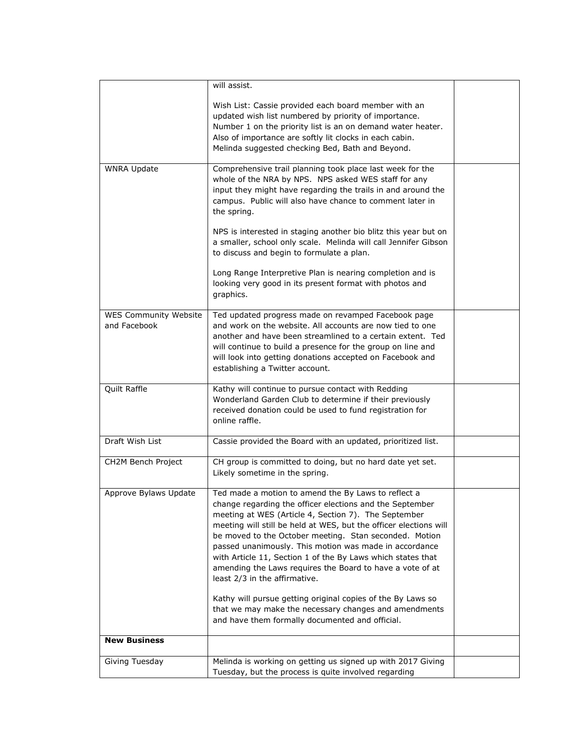|                              | will assist.                                                                                                             |  |
|------------------------------|--------------------------------------------------------------------------------------------------------------------------|--|
|                              | Wish List: Cassie provided each board member with an                                                                     |  |
|                              | updated wish list numbered by priority of importance.                                                                    |  |
|                              | Number 1 on the priority list is an on demand water heater.<br>Also of importance are softly lit clocks in each cabin.   |  |
|                              | Melinda suggested checking Bed, Bath and Beyond.                                                                         |  |
|                              |                                                                                                                          |  |
| <b>WNRA Update</b>           | Comprehensive trail planning took place last week for the<br>whole of the NRA by NPS. NPS asked WES staff for any        |  |
|                              | input they might have regarding the trails in and around the                                                             |  |
|                              | campus. Public will also have chance to comment later in                                                                 |  |
|                              | the spring.                                                                                                              |  |
|                              | NPS is interested in staging another bio blitz this year but on                                                          |  |
|                              | a smaller, school only scale. Melinda will call Jennifer Gibson                                                          |  |
|                              | to discuss and begin to formulate a plan.                                                                                |  |
|                              | Long Range Interpretive Plan is nearing completion and is                                                                |  |
|                              | looking very good in its present format with photos and<br>graphics.                                                     |  |
|                              |                                                                                                                          |  |
| <b>WES Community Website</b> | Ted updated progress made on revamped Facebook page                                                                      |  |
| and Facebook                 | and work on the website. All accounts are now tied to one<br>another and have been streamlined to a certain extent. Ted  |  |
|                              | will continue to build a presence for the group on line and                                                              |  |
|                              | will look into getting donations accepted on Facebook and                                                                |  |
|                              | establishing a Twitter account.                                                                                          |  |
| Quilt Raffle                 | Kathy will continue to pursue contact with Redding                                                                       |  |
|                              | Wonderland Garden Club to determine if their previously<br>received donation could be used to fund registration for      |  |
|                              | online raffle.                                                                                                           |  |
|                              |                                                                                                                          |  |
| Draft Wish List              | Cassie provided the Board with an updated, prioritized list.                                                             |  |
| CH2M Bench Project           | CH group is committed to doing, but no hard date yet set.                                                                |  |
|                              | Likely sometime in the spring.                                                                                           |  |
| Approve Bylaws Update        | Ted made a motion to amend the By Laws to reflect a                                                                      |  |
|                              | change regarding the officer elections and the September<br>meeting at WES (Article 4, Section 7). The September         |  |
|                              | meeting will still be held at WES, but the officer elections will                                                        |  |
|                              | be moved to the October meeting. Stan seconded. Motion                                                                   |  |
|                              | passed unanimously. This motion was made in accordance                                                                   |  |
|                              | with Article 11, Section 1 of the By Laws which states that<br>amending the Laws requires the Board to have a vote of at |  |
|                              | least 2/3 in the affirmative.                                                                                            |  |
|                              | Kathy will pursue getting original copies of the By Laws so                                                              |  |
|                              | that we may make the necessary changes and amendments                                                                    |  |
|                              | and have them formally documented and official.                                                                          |  |
| <b>New Business</b>          |                                                                                                                          |  |
| Giving Tuesday               | Melinda is working on getting us signed up with 2017 Giving                                                              |  |
|                              | Tuesday, but the process is quite involved regarding                                                                     |  |